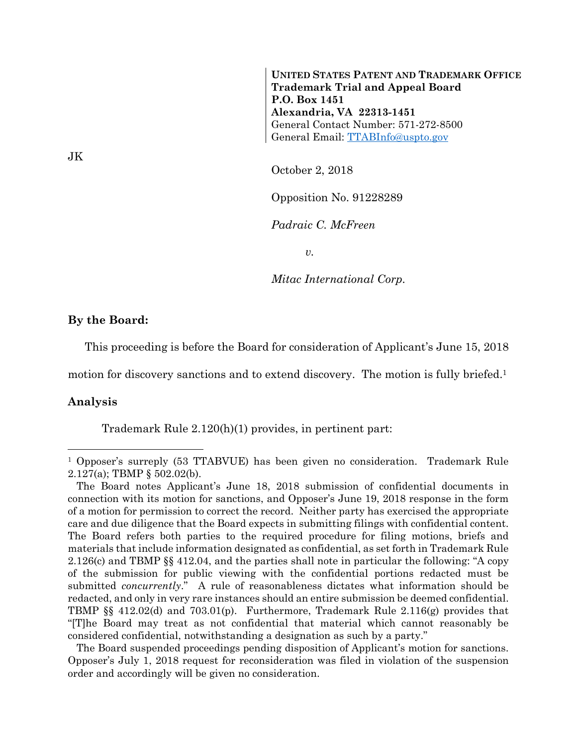**UNITED STATES PATENT AND TRADEMARK OFFICE Trademark Trial and Appeal Board P.O. Box 1451 Alexandria, VA 22313-1451**  General Contact Number: 571-272-8500 General Email: TTABInfo@uspto.gov

October 2, 2018

Opposition No. 91228289

*Padraic C. McFreen* 

*v.* 

*Mitac International Corp.* 

## **By the Board:**

This proceeding is before the Board for consideration of Applicant's June 15, 2018

motion for discovery sanctions and to extend discovery. The motion is fully briefed.<sup>1</sup>

## **Analysis**

l

Trademark Rule 2.120(h)(1) provides, in pertinent part:

 The Board suspended proceedings pending disposition of Applicant's motion for sanctions. Opposer's July 1, 2018 request for reconsideration was filed in violation of the suspension order and accordingly will be given no consideration.

<sup>&</sup>lt;sup>1</sup> Opposer's surreply (53 TTABVUE) has been given no consideration. Trademark Rule 2.127(a); TBMP § 502.02(b).

The Board notes Applicant's June 18, 2018 submission of confidential documents in connection with its motion for sanctions, and Opposer's June 19, 2018 response in the form of a motion for permission to correct the record. Neither party has exercised the appropriate care and due diligence that the Board expects in submitting filings with confidential content. The Board refers both parties to the required procedure for filing motions, briefs and materials that include information designated as confidential, as set forth in Trademark Rule 2.126(c) and TBMP §§ 412.04, and the parties shall note in particular the following: "A copy of the submission for public viewing with the confidential portions redacted must be submitted *concurrently*." A rule of reasonableness dictates what information should be redacted, and only in very rare instances should an entire submission be deemed confidential. TBMP §§ 412.02(d) and 703.01(p). Furthermore, Trademark Rule 2.116(g) provides that "[T]he Board may treat as not confidential that material which cannot reasonably be considered confidential, notwithstanding a designation as such by a party."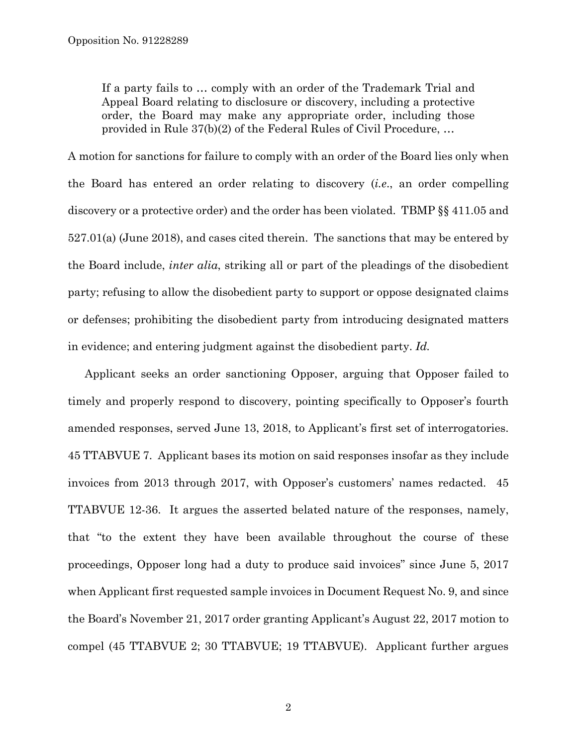If a party fails to … comply with an order of the Trademark Trial and Appeal Board relating to disclosure or discovery, including a protective order, the Board may make any appropriate order, including those provided in Rule 37(b)(2) of the Federal Rules of Civil Procedure, …

A motion for sanctions for failure to comply with an order of the Board lies only when the Board has entered an order relating to discovery (*i.e*., an order compelling discovery or a protective order) and the order has been violated. TBMP §§ 411.05 and 527.01(a) (June 2018), and cases cited therein. The sanctions that may be entered by the Board include, *inter alia*, striking all or part of the pleadings of the disobedient party; refusing to allow the disobedient party to support or oppose designated claims or defenses; prohibiting the disobedient party from introducing designated matters in evidence; and entering judgment against the disobedient party. *Id.*

Applicant seeks an order sanctioning Opposer, arguing that Opposer failed to timely and properly respond to discovery, pointing specifically to Opposer's fourth amended responses, served June 13, 2018, to Applicant's first set of interrogatories. 45 TTABVUE 7. Applicant bases its motion on said responses insofar as they include invoices from 2013 through 2017, with Opposer's customers' names redacted. 45 TTABVUE 12-36. It argues the asserted belated nature of the responses, namely, that "to the extent they have been available throughout the course of these proceedings, Opposer long had a duty to produce said invoices" since June 5, 2017 when Applicant first requested sample invoices in Document Request No. 9, and since the Board's November 21, 2017 order granting Applicant's August 22, 2017 motion to compel (45 TTABVUE 2; 30 TTABVUE; 19 TTABVUE). Applicant further argues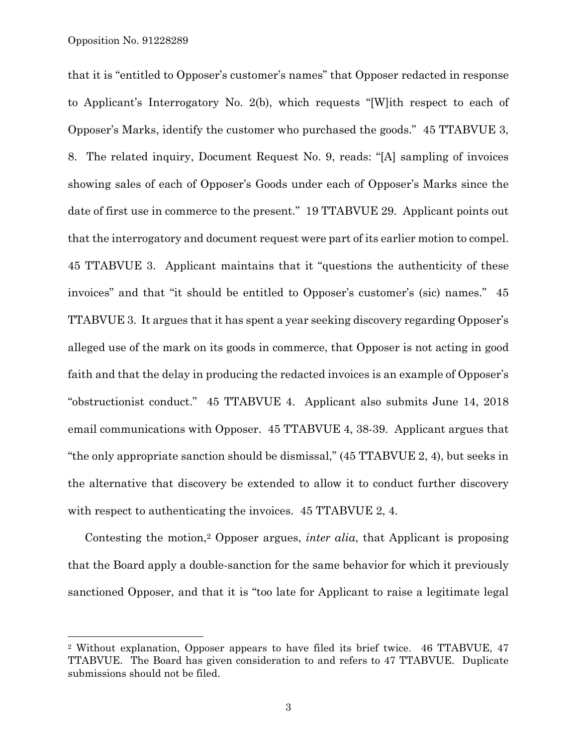l

that it is "entitled to Opposer's customer's names" that Opposer redacted in response to Applicant's Interrogatory No. 2(b), which requests "[W]ith respect to each of Opposer's Marks, identify the customer who purchased the goods." 45 TTABVUE 3, 8. The related inquiry, Document Request No. 9, reads: "[A] sampling of invoices showing sales of each of Opposer's Goods under each of Opposer's Marks since the date of first use in commerce to the present." 19 TTABVUE 29. Applicant points out that the interrogatory and document request were part of its earlier motion to compel. 45 TTABVUE 3. Applicant maintains that it "questions the authenticity of these invoices" and that "it should be entitled to Opposer's customer's (sic) names." 45 TTABVUE 3. It argues that it has spent a year seeking discovery regarding Opposer's alleged use of the mark on its goods in commerce, that Opposer is not acting in good faith and that the delay in producing the redacted invoices is an example of Opposer's "obstructionist conduct." 45 TTABVUE 4. Applicant also submits June 14, 2018 email communications with Opposer. 45 TTABVUE 4, 38-39. Applicant argues that "the only appropriate sanction should be dismissal," (45 TTABVUE 2, 4), but seeks in the alternative that discovery be extended to allow it to conduct further discovery with respect to authenticating the invoices. 45 TTABVUE 2, 4.

Contesting the motion,2 Opposer argues, *inter alia*, that Applicant is proposing that the Board apply a double-sanction for the same behavior for which it previously sanctioned Opposer, and that it is "too late for Applicant to raise a legitimate legal

<sup>2</sup> Without explanation, Opposer appears to have filed its brief twice. 46 TTABVUE, 47 TTABVUE. The Board has given consideration to and refers to 47 TTABVUE. Duplicate submissions should not be filed.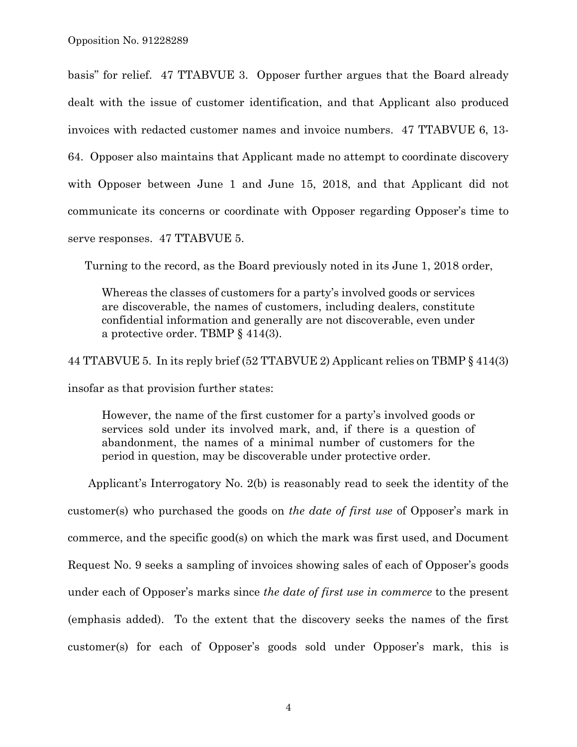basis" for relief. 47 TTABVUE 3. Opposer further argues that the Board already dealt with the issue of customer identification, and that Applicant also produced invoices with redacted customer names and invoice numbers. 47 TTABVUE 6, 13- 64. Opposer also maintains that Applicant made no attempt to coordinate discovery with Opposer between June 1 and June 15, 2018, and that Applicant did not communicate its concerns or coordinate with Opposer regarding Opposer's time to serve responses. 47 TTABVUE 5.

Turning to the record, as the Board previously noted in its June 1, 2018 order,

Whereas the classes of customers for a party's involved goods or services are discoverable, the names of customers, including dealers, constitute confidential information and generally are not discoverable, even under a protective order. TBMP § 414(3).

44 TTABVUE 5. In its reply brief (52 TTABVUE 2) Applicant relies on TBMP § 414(3)

insofar as that provision further states:

However, the name of the first customer for a party's involved goods or services sold under its involved mark, and, if there is a question of abandonment, the names of a minimal number of customers for the period in question, may be discoverable under protective order.

Applicant's Interrogatory No. 2(b) is reasonably read to seek the identity of the customer(s) who purchased the goods on *the date of first use* of Opposer's mark in commerce, and the specific good(s) on which the mark was first used, and Document Request No. 9 seeks a sampling of invoices showing sales of each of Opposer's goods under each of Opposer's marks since *the date of first use in commerce* to the present (emphasis added). To the extent that the discovery seeks the names of the first customer(s) for each of Opposer's goods sold under Opposer's mark, this is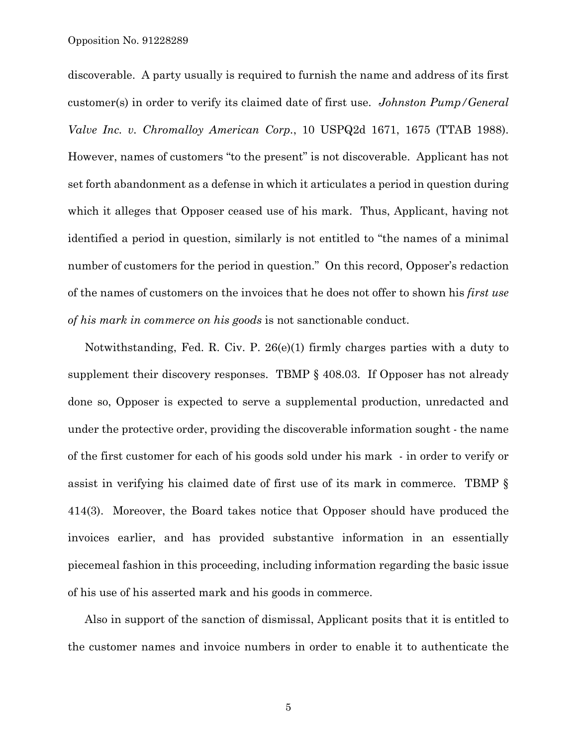discoverable. A party usually is required to furnish the name and address of its first customer(s) in order to verify its claimed date of first use. *Johnston Pump/General Valve Inc. v. Chromalloy American Corp.*, 10 USPQ2d 1671, 1675 (TTAB 1988). However, names of customers "to the present" is not discoverable. Applicant has not set forth abandonment as a defense in which it articulates a period in question during which it alleges that Opposer ceased use of his mark. Thus, Applicant, having not identified a period in question, similarly is not entitled to "the names of a minimal number of customers for the period in question." On this record, Opposer's redaction of the names of customers on the invoices that he does not offer to shown his *first use of his mark in commerce on his goods* is not sanctionable conduct.

Notwithstanding, Fed. R. Civ. P. 26(e)(1) firmly charges parties with a duty to supplement their discovery responses. TBMP § 408.03. If Opposer has not already done so, Opposer is expected to serve a supplemental production, unredacted and under the protective order, providing the discoverable information sought - the name of the first customer for each of his goods sold under his mark - in order to verify or assist in verifying his claimed date of first use of its mark in commerce. TBMP § 414(3). Moreover, the Board takes notice that Opposer should have produced the invoices earlier, and has provided substantive information in an essentially piecemeal fashion in this proceeding, including information regarding the basic issue of his use of his asserted mark and his goods in commerce.

Also in support of the sanction of dismissal, Applicant posits that it is entitled to the customer names and invoice numbers in order to enable it to authenticate the

5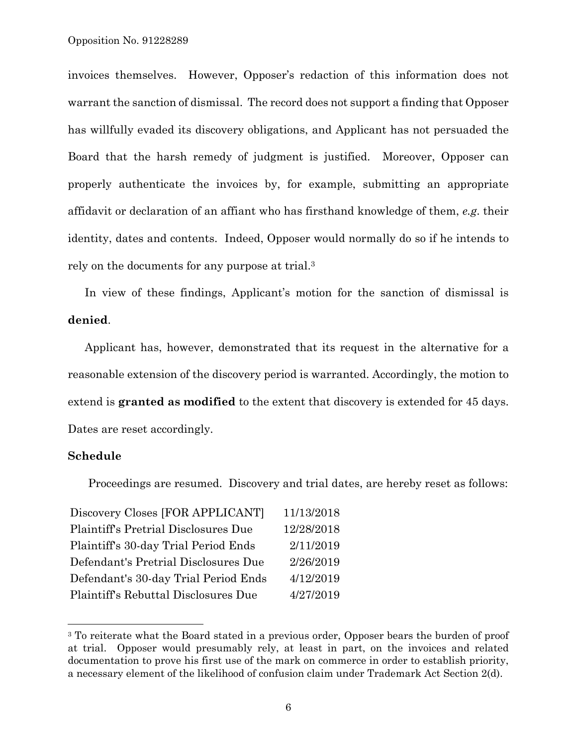invoices themselves. However, Opposer's redaction of this information does not warrant the sanction of dismissal. The record does not support a finding that Opposer has willfully evaded its discovery obligations, and Applicant has not persuaded the Board that the harsh remedy of judgment is justified. Moreover, Opposer can properly authenticate the invoices by, for example, submitting an appropriate affidavit or declaration of an affiant who has firsthand knowledge of them, *e.g*. their identity, dates and contents. Indeed, Opposer would normally do so if he intends to rely on the documents for any purpose at trial.3

In view of these findings, Applicant's motion for the sanction of dismissal is **denied**.

Applicant has, however, demonstrated that its request in the alternative for a reasonable extension of the discovery period is warranted. Accordingly, the motion to extend is **granted as modified** to the extent that discovery is extended for 45 days. Dates are reset accordingly.

## **Schedule**

1

Proceedings are resumed. Discovery and trial dates, are hereby reset as follows:

| Discovery Closes [FOR APPLICANT]     | 11/13/2018 |
|--------------------------------------|------------|
| Plaintiff's Pretrial Disclosures Due | 12/28/2018 |
| Plaintiff's 30-day Trial Period Ends | 2/11/2019  |
| Defendant's Pretrial Disclosures Due | 2/26/2019  |
| Defendant's 30-day Trial Period Ends | 4/12/2019  |
| Plaintiff's Rebuttal Disclosures Due | 4/27/2019  |

<sup>&</sup>lt;sup>3</sup> To reiterate what the Board stated in a previous order, Opposer bears the burden of proof at trial. Opposer would presumably rely, at least in part, on the invoices and related documentation to prove his first use of the mark on commerce in order to establish priority, a necessary element of the likelihood of confusion claim under Trademark Act Section 2(d).